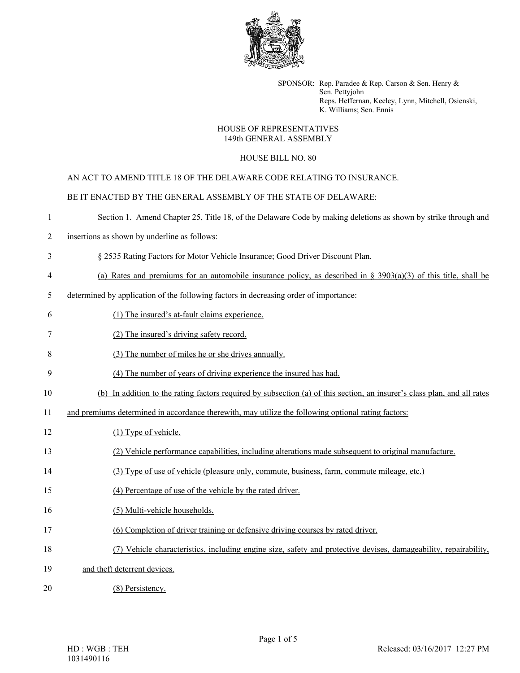

SPONSOR: Rep. Paradee & Rep. Carson & Sen. Henry & Sen. Pettyjohn Reps. Heffernan, Keeley, Lynn, Mitchell, Osienski, K. Williams; Sen. Ennis

## HOUSE OF REPRESENTATIVES 149th GENERAL ASSEMBLY

## HOUSE BILL NO. 80

AN ACT TO AMEND TITLE 18 OF THE DELAWARE CODE RELATING TO INSURANCE.

BE IT ENACTED BY THE GENERAL ASSEMBLY OF THE STATE OF DELAWARE:

- 1 Section 1. Amend Chapter 25, Title 18, of the Delaware Code by making deletions as shown by strike through and
- 2 insertions as shown by underline as follows:
- 3 § 2535 Rating Factors for Motor Vehicle Insurance; Good Driver Discount Plan.
- 4 (a) Rates and premiums for an automobile insurance policy, as described in §  $3903(a)(3)$  of this title, shall be
- 5 determined by application of the following factors in decreasing order of importance:
- 6 (1) The insured's at-fault claims experience.
- 7 (2) The insured's driving safety record.
- 8 (3) The number of miles he or she drives annually.
- 9 (4) The number of years of driving experience the insured has had.
- 10 (b) In addition to the rating factors required by subsection (a) of this section, an insurer's class plan, and all rates
- 11 and premiums determined in accordance therewith, may utilize the following optional rating factors:
- 12 (1) Type of vehicle.
- 13 (2) Vehicle performance capabilities, including alterations made subsequent to original manufacture.
- 14 (3) Type of use of vehicle (pleasure only, commute, business, farm, commute mileage, etc.)
- 15 (4) Percentage of use of the vehicle by the rated driver.
- 16 (5) Multi-vehicle households.
- 17 (6) Completion of driver training or defensive driving courses by rated driver.
- 18 (7) Vehicle characteristics, including engine size, safety and protective devises, damageability, repairability,
- 19 and theft deterrent devices.
- 20 (8) Persistency.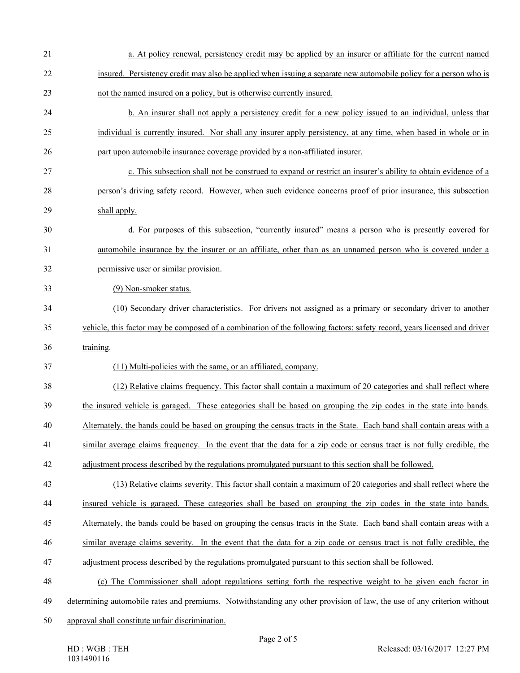| 21 | a. At policy renewal, persistency credit may be applied by an insurer or affiliate for the current named                 |
|----|--------------------------------------------------------------------------------------------------------------------------|
| 22 | insured. Persistency credit may also be applied when issuing a separate new automobile policy for a person who is        |
| 23 | not the named insured on a policy, but is otherwise currently insured.                                                   |
| 24 | b. An insurer shall not apply a persistency credit for a new policy issued to an individual, unless that                 |
| 25 | individual is currently insured. Nor shall any insurer apply persistency, at any time, when based in whole or in         |
| 26 | part upon automobile insurance coverage provided by a non-affiliated insurer.                                            |
| 27 | c. This subsection shall not be construed to expand or restrict an insurer's ability to obtain evidence of a             |
| 28 | person's driving safety record. However, when such evidence concerns proof of prior insurance, this subsection           |
| 29 | shall apply.                                                                                                             |
| 30 | d. For purposes of this subsection, "currently insured" means a person who is presently covered for                      |
| 31 | automobile insurance by the insurer or an affiliate, other than as an unnamed person who is covered under a              |
| 32 | permissive user or similar provision.                                                                                    |
| 33 | (9) Non-smoker status.                                                                                                   |
| 34 | (10) Secondary driver characteristics. For drivers not assigned as a primary or secondary driver to another              |
| 35 | vehicle, this factor may be composed of a combination of the following factors: safety record, years licensed and driver |
| 36 | training.                                                                                                                |
| 37 | (11) Multi-policies with the same, or an affiliated, company.                                                            |
| 38 | (12) Relative claims frequency. This factor shall contain a maximum of 20 categories and shall reflect where             |
| 39 | the insured vehicle is garaged. These categories shall be based on grouping the zip codes in the state into bands.       |
| 40 | Alternately, the bands could be based on grouping the census tracts in the State. Each band shall contain areas with a   |
| 41 | similar average claims frequency. In the event that the data for a zip code or census tract is not fully credible, the   |
| 42 | adjustment process described by the regulations promulgated pursuant to this section shall be followed.                  |
| 43 | (13) Relative claims severity. This factor shall contain a maximum of 20 categories and shall reflect where the          |
| 44 | insured vehicle is garaged. These categories shall be based on grouping the zip codes in the state into bands.           |
| 45 | Alternately, the bands could be based on grouping the census tracts in the State. Each band shall contain areas with a   |
| 46 | similar average claims severity. In the event that the data for a zip code or census tract is not fully credible, the    |
| 47 | adjustment process described by the regulations promulgated pursuant to this section shall be followed.                  |
| 48 | (c) The Commissioner shall adopt regulations setting forth the respective weight to be given each factor in              |
| 49 | determining automobile rates and premiums. Notwithstanding any other provision of law, the use of any criterion without  |
| 50 | approval shall constitute unfair discrimination.                                                                         |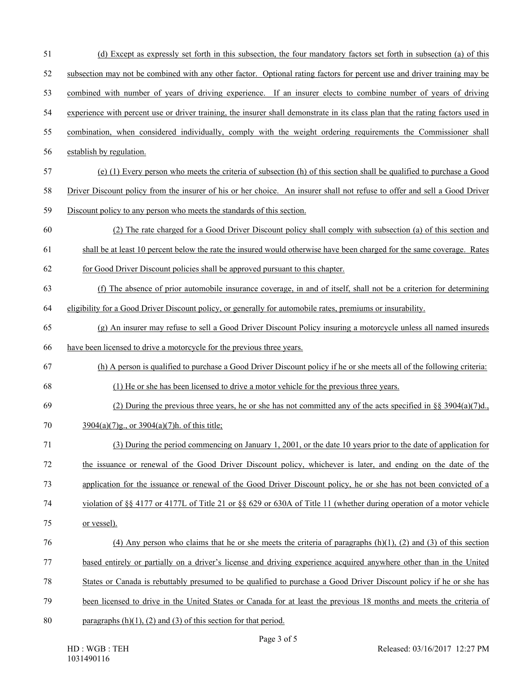51 (d) Except as expressly set forth in this subsection, the four mandatory factors set forth in subsection (a) of this 52 subsection may not be combined with any other factor. Optional rating factors for percent use and driver training may be 53 combined with number of years of driving experience. If an insurer elects to combine number of years of driving 54 experience with percent use or driver training, the insurer shall demonstrate in its class plan that the rating factors used in 55 combination, when considered individually, comply with the weight ordering requirements the Commissioner shall 56 establish by regulation. 57 (e) (1) Every person who meets the criteria of subsection (h) of this section shall be qualified to purchase a Good 58 Driver Discount policy from the insurer of his or her choice. An insurer shall not refuse to offer and sell a Good Driver 59 Discount policy to any person who meets the standards of this section. 60 (2) The rate charged for a Good Driver Discount policy shall comply with subsection (a) of this section and 61 shall be at least 10 percent below the rate the insured would otherwise have been charged for the same coverage. Rates 62 for Good Driver Discount policies shall be approved pursuant to this chapter. 63 (f) The absence of prior automobile insurance coverage, in and of itself, shall not be a criterion for determining 64 eligibility for a Good Driver Discount policy, or generally for automobile rates, premiums or insurability. 65 (g) An insurer may refuse to sell a Good Driver Discount Policy insuring a motorcycle unless all named insureds 66 have been licensed to drive a motorcycle for the previous three years. 67 (h) A person is qualified to purchase a Good Driver Discount policy if he or she meets all of the following criteria: 68 (1) He or she has been licensed to drive a motor vehicle for the previous three years. 69 (2) During the previous three years, he or she has not committed any of the acts specified in  $\S$ § 3904(a)(7)d., 70 3904(a)(7)g., or 3904(a)(7)h. of this title; 71 (3) During the period commencing on January 1, 2001, or the date 10 years prior to the date of application for 72 the issuance or renewal of the Good Driver Discount policy, whichever is later, and ending on the date of the 73 application for the issuance or renewal of the Good Driver Discount policy, he or she has not been convicted of a 74 violation of §§ 4177 or 4177L of Title 21 or §§ 629 or 630A of Title 11 (whether during operation of a motor vehicle 75 or vessel). 76 (4) Any person who claims that he or she meets the criteria of paragraphs (h)(1), (2) and (3) of this section 77 based entirely or partially on a driver's license and driving experience acquired anywhere other than in the United 78 States or Canada is rebuttably presumed to be qualified to purchase a Good Driver Discount policy if he or she has 79 been licensed to drive in the United States or Canada for at least the previous 18 months and meets the criteria of 80 paragraphs  $(h)(1)$ ,  $(2)$  and  $(3)$  of this section for that period.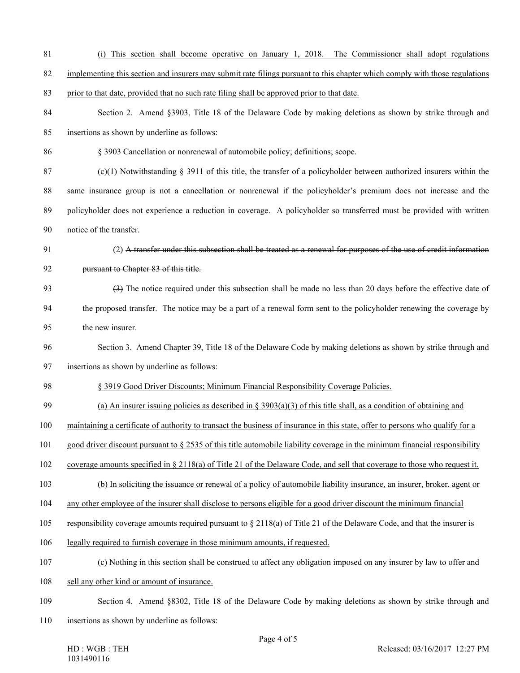#### 81 (i) This section shall become operative on January 1, 2018. The Commissioner shall adopt regulations

- 82 implementing this section and insurers may submit rate filings pursuant to this chapter which comply with those regulations
- 83 prior to that date, provided that no such rate filing shall be approved prior to that date.
- 84 Section 2. Amend §3903, Title 18 of the Delaware Code by making deletions as shown by strike through and 85 insertions as shown by underline as follows:
- 86 § 3903 Cancellation or nonrenewal of automobile policy; definitions; scope.
- 87 (c)(1) Notwithstanding  $\S$  3911 of this title, the transfer of a policyholder between authorized insurers within the 88 same insurance group is not a cancellation or nonrenewal if the policyholder's premium does not increase and the 89 policyholder does not experience a reduction in coverage. A policyholder so transferred must be provided with written 90 notice of the transfer.
- 91 (2) A transfer under this subsection shall be treated as a renewal for purposes of the use of credit information
- 

# 92 pursuant to Chapter 83 of this title.

- 93 (3) The notice required under this subsection shall be made no less than 20 days before the effective date of 94 the proposed transfer. The notice may be a part of a renewal form sent to the policyholder renewing the coverage by 95 the new insurer.
- 96 Section 3. Amend Chapter 39, Title 18 of the Delaware Code by making deletions as shown by strike through and
- 97 insertions as shown by underline as follows:
- 98 § 3919 Good Driver Discounts; Minimum Financial Responsibility Coverage Policies.
- 99 (a) An insurer issuing policies as described in  $\S 3903(a)(3)$  of this title shall, as a condition of obtaining and
- 100 maintaining a certificate of authority to transact the business of insurance in this state, offer to persons who qualify for a
- 101 good driver discount pursuant to § 2535 of this title automobile liability coverage in the minimum financial responsibility
- 102 coverage amounts specified in § 2118(a) of Title 21 of the Delaware Code, and sell that coverage to those who request it.
- 103 (b) In soliciting the issuance or renewal of a policy of automobile liability insurance, an insurer, broker, agent or
- 104 any other employee of the insurer shall disclose to persons eligible for a good driver discount the minimum financial
- 105 responsibility coverage amounts required pursuant to § 2118(a) of Title 21 of the Delaware Code, and that the insurer is
- 106 legally required to furnish coverage in those minimum amounts, if requested.
- 107 (c) Nothing in this section shall be construed to affect any obligation imposed on any insurer by law to offer and
- 108 sell any other kind or amount of insurance.
- 109 Section 4. Amend §8302, Title 18 of the Delaware Code by making deletions as shown by strike through and
- 110 insertions as shown by underline as follows:

HD : WGB : TEH 1031490116